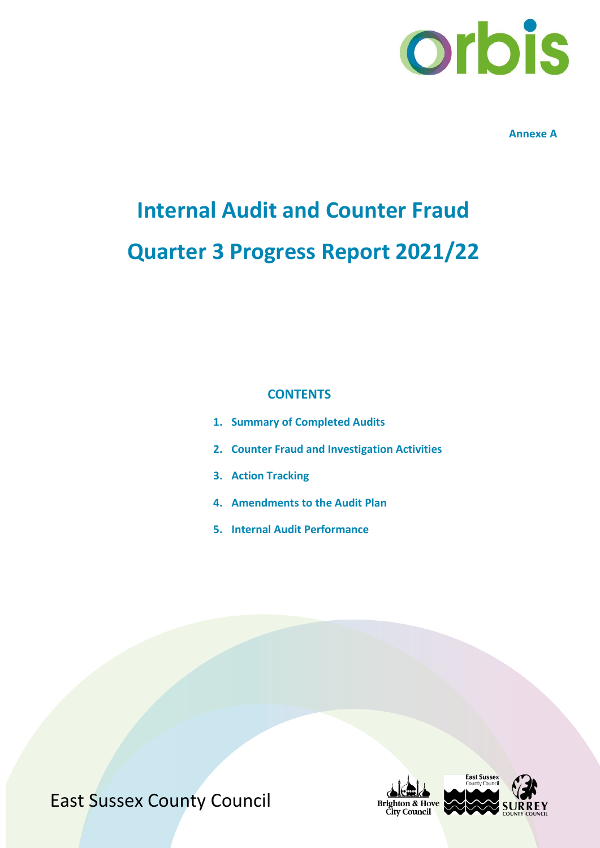

**Annexe A**

# **Internal Audit and Counter Fraud Quarter 3 Progress Report 2021/22**

#### **CONTENTS**

- **1. Summary of Completed Audits**
- **2. Counter Fraud and Investigation Activities**
- **3. Action Tracking**
- **4. Amendments to the Audit Plan**
- **5. Internal Audit Performance**

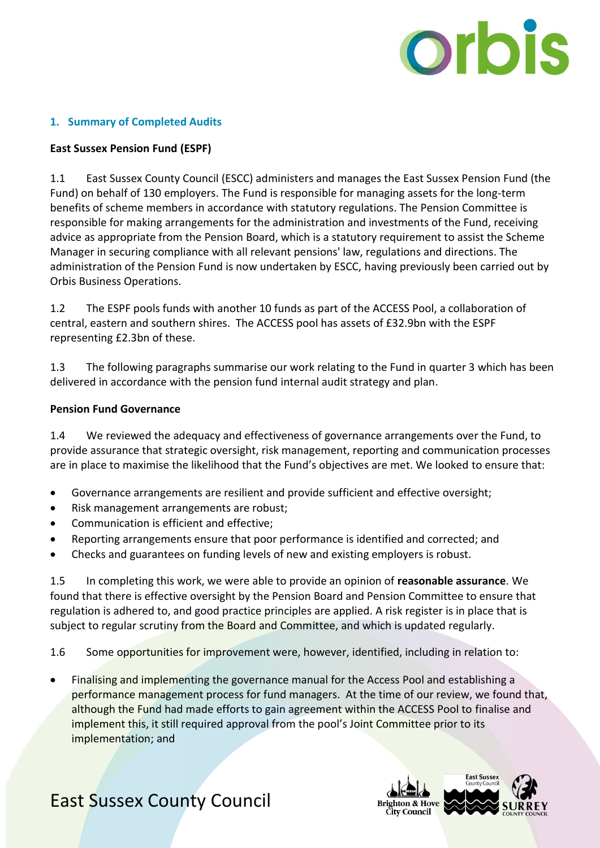

#### **1. Summary of Completed Audits**

#### **East Sussex Pension Fund (ESPF)**

1.1 East Sussex County Council (ESCC) administers and manages the East Sussex Pension Fund (the Fund) on behalf of 130 employers. The Fund is responsible for managing assets for the long-term benefits of scheme members in accordance with statutory regulations. The Pension Committee is responsible for making arrangements for the administration and investments of the Fund, receiving advice as appropriate from the Pension Board, which is a statutory requirement to assist the Scheme Manager in securing compliance with all relevant pensions' law, regulations and directions. The administration of the Pension Fund is now undertaken by ESCC, having previously been carried out by Orbis Business Operations.

1.2 The ESPF pools funds with another 10 funds as part of the ACCESS Pool, a collaboration of central, eastern and southern shires. The ACCESS pool has assets of £32.9bn with the ESPF representing £2.3bn of these.

1.3 The following paragraphs summarise our work relating to the Fund in quarter 3 which has been delivered in accordance with the pension fund internal audit strategy and plan.

#### **Pension Fund Governance**

1.4 We reviewed the adequacy and effectiveness of governance arrangements over the Fund, to provide assurance that strategic oversight, risk management, reporting and communication processes are in place to maximise the likelihood that the Fund's objectives are met. We looked to ensure that:

- Governance arrangements are resilient and provide sufficient and effective oversight;
- Risk management arrangements are robust;
- Communication is efficient and effective;
- Reporting arrangements ensure that poor performance is identified and corrected; and
- Checks and guarantees on funding levels of new and existing employers is robust.

1.5 In completing this work, we were able to provide an opinion of **reasonable assurance**. We found that there is effective oversight by the Pension Board and Pension Committee to ensure that regulation is adhered to, and good practice principles are applied. A risk register is in place that is subject to regular scrutiny from the Board and Committee, and which is updated regularly.

1.6 Some opportunities for improvement were, however, identified, including in relation to:

 Finalising and implementing the governance manual for the Access Pool and establishing a performance management process for fund managers. At the time of our review, we found that, although the Fund had made efforts to gain agreement within the ACCESS Pool to finalise and implement this, it still required approval from the pool's Joint Committee prior to its implementation; and

## **Brighton & Hove City Council**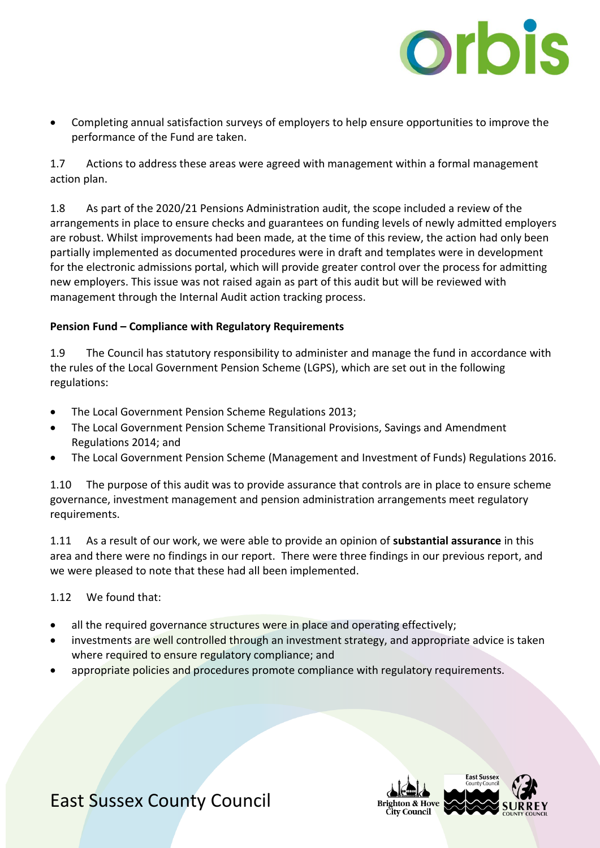

 Completing annual satisfaction surveys of employers to help ensure opportunities to improve the performance of the Fund are taken.

1.7 Actions to address these areas were agreed with management within a formal management action plan.

1.8 As part of the 2020/21 Pensions Administration audit, the scope included a review of the arrangements in place to ensure checks and guarantees on funding levels of newly admitted employers are robust. Whilst improvements had been made, at the time of this review, the action had only been partially implemented as documented procedures were in draft and templates were in development for the electronic admissions portal, which will provide greater control over the process for admitting new employers. This issue was not raised again as part of this audit but will be reviewed with management through the Internal Audit action tracking process.

#### **Pension Fund – Compliance with Regulatory Requirements**

1.9 The Council has statutory responsibility to administer and manage the fund in accordance with the rules of the Local Government Pension Scheme (LGPS), which are set out in the following regulations:

- The Local Government Pension Scheme Regulations 2013;
- The Local Government Pension Scheme Transitional Provisions, Savings and Amendment Regulations 2014; and
- The Local Government Pension Scheme (Management and Investment of Funds) Regulations 2016.

1.10 The purpose of this audit was to provide assurance that controls are in place to ensure scheme governance, investment management and pension administration arrangements meet regulatory requirements.

1.11 As a result of our work, we were able to provide an opinion of **substantial assurance** in this area and there were no findings in our report. There were three findings in our previous report, and we were pleased to note that these had all been implemented.

1.12 We found that:

- all the required governance structures were in place and operating effectively;
- investments are well controlled through an investment strategy, and appropriate advice is taken where required to ensure regulatory compliance; and
- appropriate policies and procedures promote compliance with regulatory requirements.

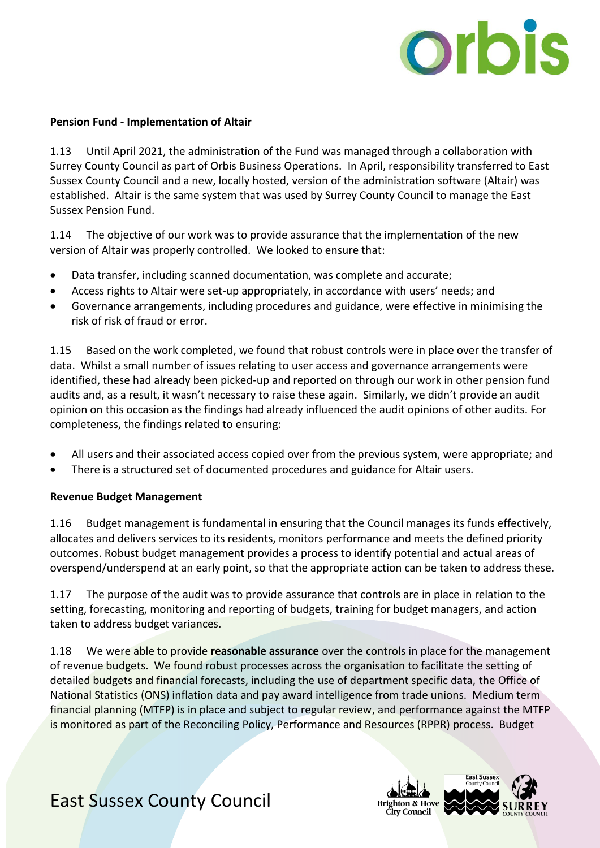

#### **Pension Fund - Implementation of Altair**

1.13 Until April 2021, the administration of the Fund was managed through a collaboration with Surrey County Council as part of Orbis Business Operations. In April, responsibility transferred to East Sussex County Council and a new, locally hosted, version of the administration software (Altair) was established. Altair is the same system that was used by Surrey County Council to manage the East Sussex Pension Fund.

1.14 The objective of our work was to provide assurance that the implementation of the new version of Altair was properly controlled. We looked to ensure that:

- Data transfer, including scanned documentation, was complete and accurate;
- Access rights to Altair were set-up appropriately, in accordance with users' needs; and
- Governance arrangements, including procedures and guidance, were effective in minimising the risk of risk of fraud or error.

1.15 Based on the work completed, we found that robust controls were in place over the transfer of data. Whilst a small number of issues relating to user access and governance arrangements were identified, these had already been picked-up and reported on through our work in other pension fund audits and, as a result, it wasn't necessary to raise these again. Similarly, we didn't provide an audit opinion on this occasion as the findings had already influenced the audit opinions of other audits. For completeness, the findings related to ensuring:

- All users and their associated access copied over from the previous system, were appropriate; and
- There is a structured set of documented procedures and guidance for Altair users.

#### **Revenue Budget Management**

1.16 Budget management is fundamental in ensuring that the Council manages its funds effectively, allocates and delivers services to its residents, monitors performance and meets the defined priority outcomes. Robust budget management provides a process to identify potential and actual areas of overspend/underspend at an early point, so that the appropriate action can be taken to address these.

1.17 The purpose of the audit was to provide assurance that controls are in place in relation to the setting, forecasting, monitoring and reporting of budgets, training for budget managers, and action taken to address budget variances.

1.18 We were able to provide **reasonable assurance** over the controls in place for the management of revenue budgets. We found robust processes across the organisation to facilitate the setting of detailed budgets and financial forecasts, including the use of department specific data, the Office of National Statistics (ONS) inflation data and pay award intelligence from trade unions. Medium term financial planning (MTFP) is in place and subject to regular review, and performance against the MTFP is monitored as part of the Reconciling Policy, Performance and Resources (RPPR) process. Budget

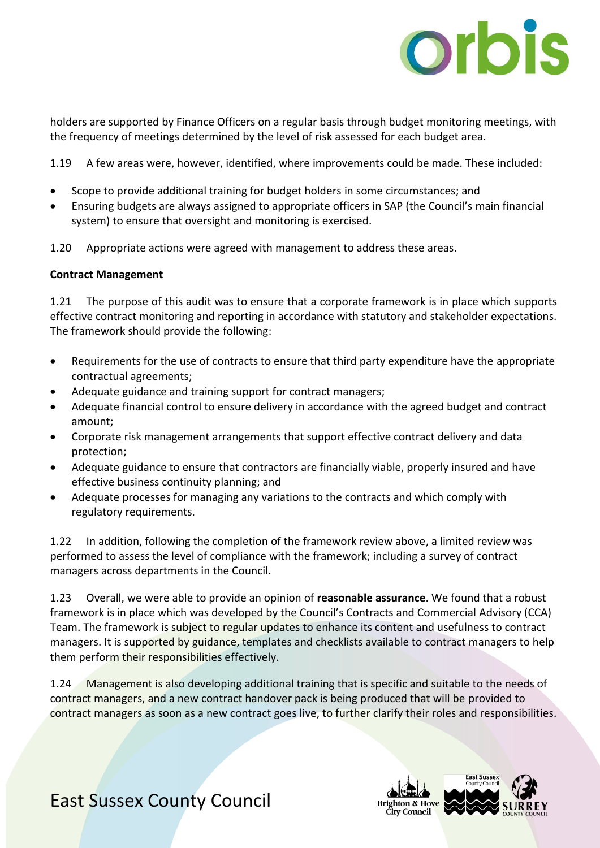

holders are supported by Finance Officers on a regular basis through budget monitoring meetings, with the frequency of meetings determined by the level of risk assessed for each budget area.

1.19 A few areas were, however, identified, where improvements could be made. These included:

- Scope to provide additional training for budget holders in some circumstances; and
- Ensuring budgets are always assigned to appropriate officers in SAP (the Council's main financial system) to ensure that oversight and monitoring is exercised.
- 1.20 Appropriate actions were agreed with management to address these areas.

#### **Contract Management**

1.21 The purpose of this audit was to ensure that a corporate framework is in place which supports effective contract monitoring and reporting in accordance with statutory and stakeholder expectations. The framework should provide the following:

- Requirements for the use of contracts to ensure that third party expenditure have the appropriate contractual agreements;
- Adequate guidance and training support for contract managers;
- Adequate financial control to ensure delivery in accordance with the agreed budget and contract amount;
- Corporate risk management arrangements that support effective contract delivery and data protection;
- Adequate guidance to ensure that contractors are financially viable, properly insured and have effective business continuity planning; and
- Adequate processes for managing any variations to the contracts and which comply with regulatory requirements.

1.22 In addition, following the completion of the framework review above, a limited review was performed to assess the level of compliance with the framework; including a survey of contract managers across departments in the Council.

1.23 Overall, we were able to provide an opinion of **reasonable assurance**. We found that a robust framework is in place which was developed by the Council's Contracts and Commercial Advisory (CCA) Team. The framework is subject to regular updates to enhance its content and usefulness to contract managers. It is supported by guidance, templates and checklists available to contract managers to help them perform their responsibilities effectively.

1.24 Management is also developing additional training that is specific and suitable to the needs of contract managers, and a new contract handover pack is being produced that will be provided to contract managers as soon as a new contract goes live, to further clarify their roles and responsibilities.

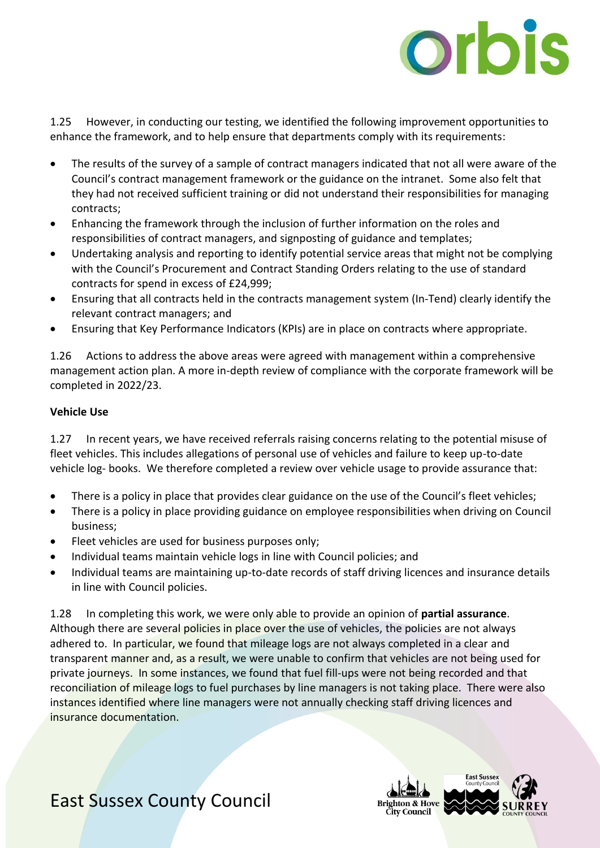

1.25 However, in conducting our testing, we identified the following improvement opportunities to enhance the framework, and to help ensure that departments comply with its requirements:

- The results of the survey of a sample of contract managers indicated that not all were aware of the Council's contract management framework or the guidance on the intranet. Some also felt that they had not received sufficient training or did not understand their responsibilities for managing contracts;
- Enhancing the framework through the inclusion of further information on the roles and responsibilities of contract managers, and signposting of guidance and templates;
- Undertaking analysis and reporting to identify potential service areas that might not be complying with the Council's Procurement and Contract Standing Orders relating to the use of standard contracts for spend in excess of £24,999;
- Ensuring that all contracts held in the contracts management system (In-Tend) clearly identify the relevant contract managers; and
- Ensuring that Key Performance Indicators (KPIs) are in place on contracts where appropriate.

1.26 Actions to address the above areas were agreed with management within a comprehensive management action plan. A more in-depth review of compliance with the corporate framework will be completed in 2022/23.

#### **Vehicle Use**

1.27 In recent years, we have received referrals raising concerns relating to the potential misuse of fleet vehicles. This includes allegations of personal use of vehicles and failure to keep up-to-date vehicle log- books. We therefore completed a review over vehicle usage to provide assurance that:

- There is a policy in place that provides clear guidance on the use of the Council's fleet vehicles;
- There is a policy in place providing guidance on employee responsibilities when driving on Council business;
- Fleet vehicles are used for business purposes only;
- Individual teams maintain vehicle logs in line with Council policies; and
- Individual teams are maintaining up-to-date records of staff driving licences and insurance details in line with Council policies.

1.28 In completing this work, we were only able to provide an opinion of **partial assurance**. Although there are several policies in place over the use of vehicles, the policies are not always adhered to. In particular, we found that mileage logs are not always completed in a clear and transparent manner and, as a result, we were unable to confirm that vehicles are not being used for private journeys. In some instances, we found that fuel fill-ups were not being recorded and that reconciliation of mileage logs to fuel purchases by line managers is not taking place. There were also instances identified where line managers were not annually checking staff driving licences and insurance documentation.

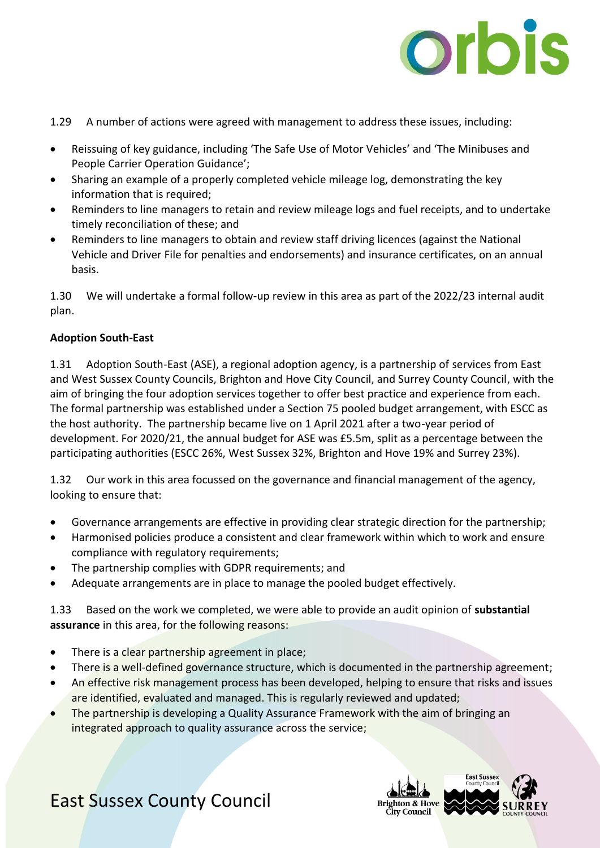

- 1.29 A number of actions were agreed with management to address these issues, including:
- Reissuing of key guidance, including 'The Safe Use of Motor Vehicles' and 'The Minibuses and People Carrier Operation Guidance';
- Sharing an example of a properly completed vehicle mileage log, demonstrating the key information that is required;
- Reminders to line managers to retain and review mileage logs and fuel receipts, and to undertake timely reconciliation of these; and
- Reminders to line managers to obtain and review staff driving licences (against the National Vehicle and Driver File for penalties and endorsements) and insurance certificates, on an annual basis.

1.30 We will undertake a formal follow-up review in this area as part of the 2022/23 internal audit plan.

#### **Adoption South-East**

1.31 Adoption South-East (ASE), a regional adoption agency, is a partnership of services from East and West Sussex County Councils, Brighton and Hove City Council, and Surrey County Council, with the aim of bringing the four adoption services together to offer best practice and experience from each. The formal partnership was established under a Section 75 pooled budget arrangement, with ESCC as the host authority. The partnership became live on 1 April 2021 after a two-year period of development. For 2020/21, the annual budget for ASE was £5.5m, split as a percentage between the participating authorities (ESCC 26%, West Sussex 32%, Brighton and Hove 19% and Surrey 23%).

1.32 Our work in this area focussed on the governance and financial management of the agency, looking to ensure that:

- Governance arrangements are effective in providing clear strategic direction for the partnership;
- Harmonised policies produce a consistent and clear framework within which to work and ensure compliance with regulatory requirements;
- The partnership complies with GDPR requirements; and
- Adequate arrangements are in place to manage the pooled budget effectively.

1.33 Based on the work we completed, we were able to provide an audit opinion of **substantial assurance** in this area, for the following reasons:

- There is a clear partnership agreement in place;
- There is a well-defined governance structure, which is documented in the partnership agreement;
- An effective risk management process has been developed, helping to ensure that risks and issues are identified, evaluated and managed. This is regularly reviewed and updated;
- The partnership is developing a Quality Assurance Framework with the aim of bringing an integrated approach to quality assurance across the service;

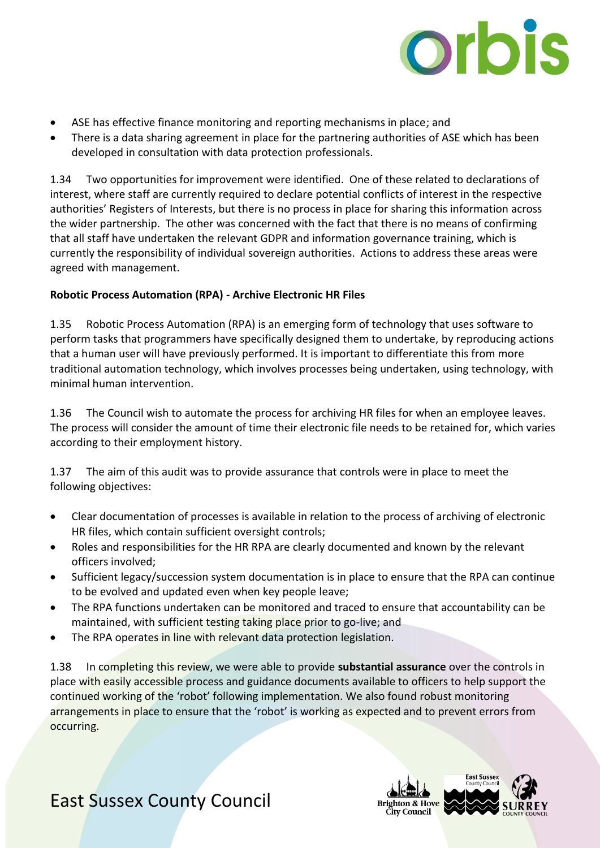

- ASE has effective finance monitoring and reporting mechanisms in place; and
- There is a data sharing agreement in place for the partnering authorities of ASE which has been developed in consultation with data protection professionals.

1.34 Two opportunities for improvement were identified. One of these related to declarations of interest, where staff are currently required to declare potential conflicts of interest in the respective authorities' Registers of Interests, but there is no process in place for sharing this information across the wider partnership. The other was concerned with the fact that there is no means of confirming that all staff have undertaken the relevant GDPR and information governance training, which is currently the responsibility of individual sovereign authorities. Actions to address these areas were agreed with management.

#### **Robotic Process Automation (RPA) - Archive Electronic HR Files**

1.35 Robotic Process Automation (RPA) is an emerging form of technology that uses software to perform tasks that programmers have specifically designed them to undertake, by reproducing actions that a human user will have previously performed. It is important to differentiate this from more traditional automation technology, which involves processes being undertaken, using technology, with minimal human intervention.

1.36 The Council wish to automate the process for archiving HR files for when an employee leaves. The process will consider the amount of time their electronic file needs to be retained for, which varies according to their employment history.

1.37 The aim of this audit was to provide assurance that controls were in place to meet the following objectives:

- Clear documentation of processes is available in relation to the process of archiving of electronic HR files, which contain sufficient oversight controls;
- Roles and responsibilities for the HR RPA are clearly documented and known by the relevant officers involved;
- Sufficient legacy/succession system documentation is in place to ensure that the RPA can continue to be evolved and updated even when key people leave;
- The RPA functions undertaken can be monitored and traced to ensure that accountability can be maintained, with sufficient testing taking place prior to go-live; and
- The RPA operates in line with relevant data protection legislation.

1.38 In completing this review, we were able to provide **substantial assurance** over the controls in place with easily accessible process and guidance documents available to officers to help support the continued working of the 'robot' following implementation. We also found robust monitoring arrangements in place to ensure that the 'robot' is working as expected and to prevent errors from occurring.

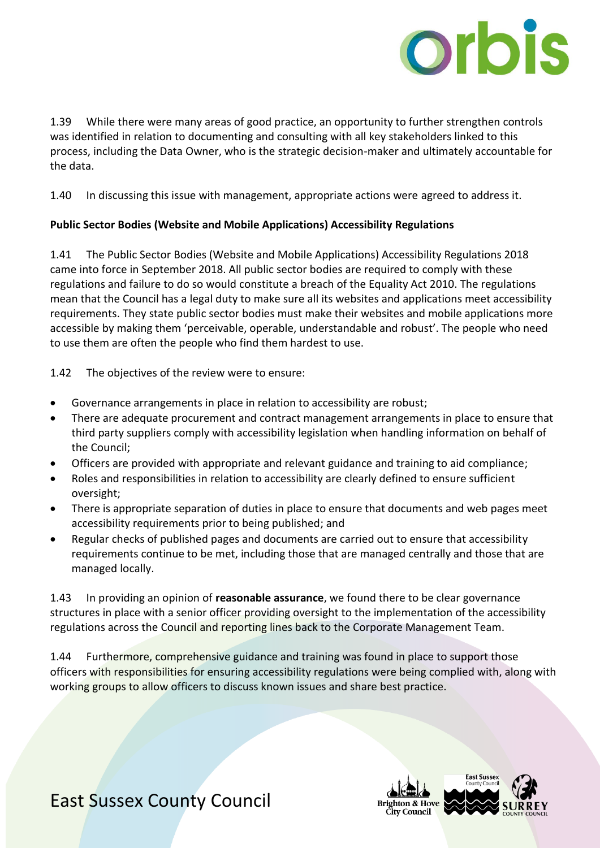

1.39 While there were many areas of good practice, an opportunity to further strengthen controls was identified in relation to documenting and consulting with all key stakeholders linked to this process, including the Data Owner, who is the strategic decision-maker and ultimately accountable for the data.

1.40 In discussing this issue with management, appropriate actions were agreed to address it.

#### **Public Sector Bodies (Website and Mobile Applications) Accessibility Regulations**

1.41 The Public Sector Bodies (Website and Mobile Applications) Accessibility Regulations 2018 came into force in September 2018. All public sector bodies are required to comply with these regulations and failure to do so would constitute a breach of the Equality Act 2010. The regulations mean that the Council has a legal duty to make sure all its websites and applications meet accessibility requirements. They state public sector bodies must make their websites and mobile applications more accessible by making them 'perceivable, operable, understandable and robust'. The people who need to use them are often the people who find them hardest to use.

1.42 The objectives of the review were to ensure:

- Governance arrangements in place in relation to accessibility are robust;
- There are adequate procurement and contract management arrangements in place to ensure that third party suppliers comply with accessibility legislation when handling information on behalf of the Council;
- Officers are provided with appropriate and relevant guidance and training to aid compliance;
- Roles and responsibilities in relation to accessibility are clearly defined to ensure sufficient oversight;
- There is appropriate separation of duties in place to ensure that documents and web pages meet accessibility requirements prior to being published; and
- Regular checks of published pages and documents are carried out to ensure that accessibility requirements continue to be met, including those that are managed centrally and those that are managed locally.

1.43 In providing an opinion of **reasonable assurance**, we found there to be clear governance structures in place with a senior officer providing oversight to the implementation of the accessibility regulations across the Council and reporting lines back to the Corporate Management Team.

1.44 Furthermore, comprehensive guidance and training was found in place to support those officers with responsibilities for ensuring accessibility regulations were being complied with, along with working groups to allow officers to discuss known issues and share best practice.

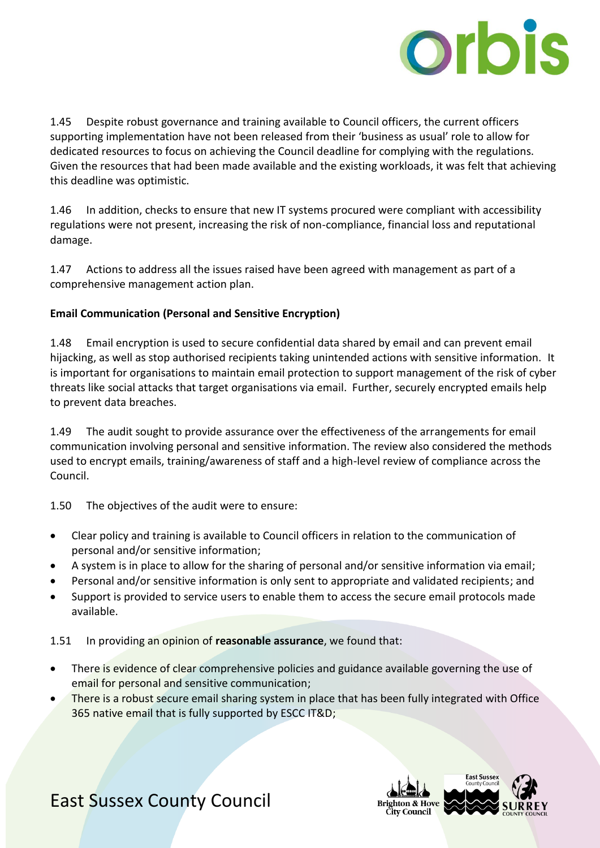

1.45 Despite robust governance and training available to Council officers, the current officers supporting implementation have not been released from their 'business as usual' role to allow for dedicated resources to focus on achieving the Council deadline for complying with the regulations. Given the resources that had been made available and the existing workloads, it was felt that achieving this deadline was optimistic.

1.46 In addition, checks to ensure that new IT systems procured were compliant with accessibility regulations were not present, increasing the risk of non-compliance, financial loss and reputational damage.

1.47 Actions to address all the issues raised have been agreed with management as part of a comprehensive management action plan.

#### **Email Communication (Personal and Sensitive Encryption)**

1.48 Email encryption is used to secure confidential data shared by email and can prevent email hijacking, as well as stop authorised recipients taking unintended actions with sensitive information. It is important for organisations to maintain email protection to support management of the risk of cyber threats like social attacks that target organisations via email. Further, securely encrypted emails help to prevent data breaches.

1.49 The audit sought to provide assurance over the effectiveness of the arrangements for email communication involving personal and sensitive information. The review also considered the methods used to encrypt emails, training/awareness of staff and a high-level review of compliance across the Council.

1.50 The objectives of the audit were to ensure:

- Clear policy and training is available to Council officers in relation to the communication of personal and/or sensitive information;
- A system is in place to allow for the sharing of personal and/or sensitive information via email;
- Personal and/or sensitive information is only sent to appropriate and validated recipients; and
- Support is provided to service users to enable them to access the secure email protocols made available.

1.51 In providing an opinion of **reasonable assurance**, we found that:

- There is evidence of clear comprehensive policies and guidance available governing the use of email for personal and sensitive communication;
- There is a robust secure email sharing system in place that has been fully integrated with Office 365 native email that is fully supported by ESCC IT&D;

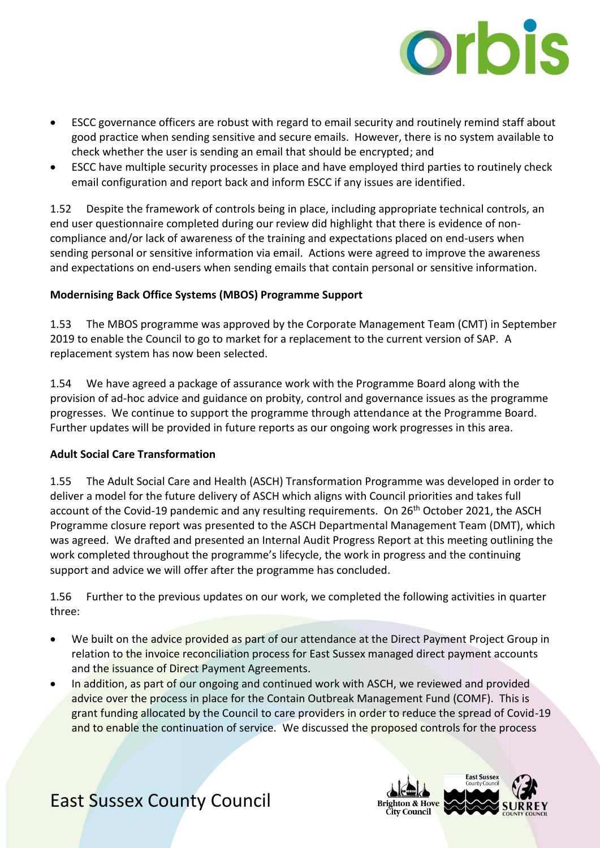

- ESCC governance officers are robust with regard to email security and routinely remind staff about good practice when sending sensitive and secure emails. However, there is no system available to check whether the user is sending an email that should be encrypted; and
- ESCC have multiple security processes in place and have employed third parties to routinely check email configuration and report back and inform ESCC if any issues are identified.

1.52 Despite the framework of controls being in place, including appropriate technical controls, an end user questionnaire completed during our review did highlight that there is evidence of noncompliance and/or lack of awareness of the training and expectations placed on end-users when sending personal or sensitive information via email. Actions were agreed to improve the awareness and expectations on end-users when sending emails that contain personal or sensitive information.

#### **Modernising Back Office Systems (MBOS) Programme Support**

1.53 The MBOS programme was approved by the Corporate Management Team (CMT) in September 2019 to enable the Council to go to market for a replacement to the current version of SAP. A replacement system has now been selected.

1.54 We have agreed a package of assurance work with the Programme Board along with the provision of ad-hoc advice and guidance on probity, control and governance issues as the programme progresses. We continue to support the programme through attendance at the Programme Board. Further updates will be provided in future reports as our ongoing work progresses in this area.

#### **Adult Social Care Transformation**

1.55 The Adult Social Care and Health (ASCH) Transformation Programme was developed in order to deliver a model for the future delivery of ASCH which aligns with Council priorities and takes full account of the Covid-19 pandemic and any resulting requirements. On 26<sup>th</sup> October 2021, the ASCH Programme closure report was presented to the ASCH Departmental Management Team (DMT), which was agreed. We drafted and presented an Internal Audit Progress Report at this meeting outlining the work completed throughout the programme's lifecycle, the work in progress and the continuing support and advice we will offer after the programme has concluded.

1.56 Further to the previous updates on our work, we completed the following activities in quarter three:

- We built on the advice provided as part of our attendance at the Direct Payment Project Group in relation to the invoice reconciliation process for East Sussex managed direct payment accounts and the issuance of Direct Payment Agreements.
- In addition, as part of our ongoing and continued work with ASCH, we reviewed and provided advice over the process in place for the Contain Outbreak Management Fund (COMF). This is grant funding allocated by the Council to care providers in order to reduce the spread of Covid-19 and to enable the continuation of service. We discussed the proposed controls for the process

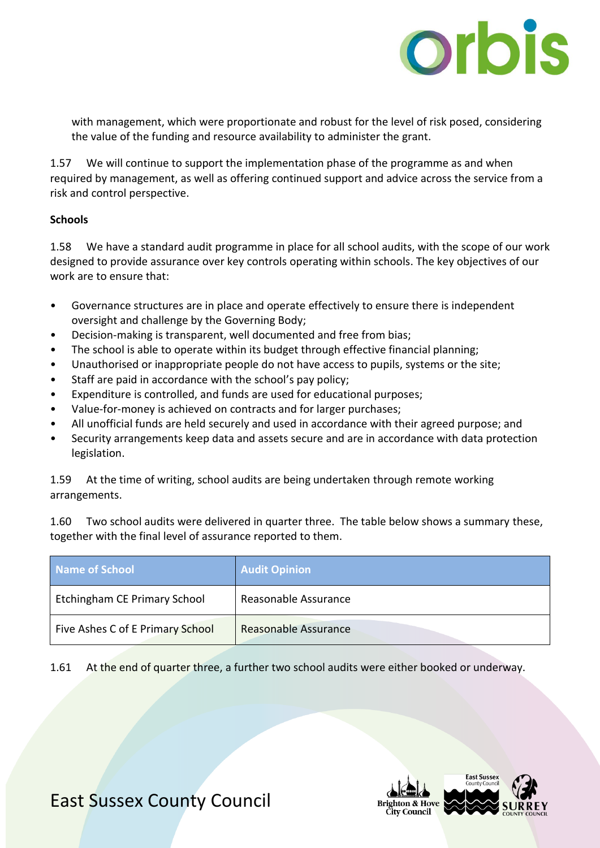

with management, which were proportionate and robust for the level of risk posed, considering the value of the funding and resource availability to administer the grant.

1.57 We will continue to support the implementation phase of the programme as and when required by management, as well as offering continued support and advice across the service from a risk and control perspective.

#### **Schools**

1.58 We have a standard audit programme in place for all school audits, with the scope of our work designed to provide assurance over key controls operating within schools. The key objectives of our work are to ensure that:

- Governance structures are in place and operate effectively to ensure there is independent oversight and challenge by the Governing Body;
- Decision-making is transparent, well documented and free from bias;
- The school is able to operate within its budget through effective financial planning;
- Unauthorised or inappropriate people do not have access to pupils, systems or the site;
- Staff are paid in accordance with the school's pay policy;
- Expenditure is controlled, and funds are used for educational purposes;
- Value-for-money is achieved on contracts and for larger purchases;
- All unofficial funds are held securely and used in accordance with their agreed purpose; and
- Security arrangements keep data and assets secure and are in accordance with data protection legislation.

1.59 At the time of writing, school audits are being undertaken through remote working arrangements.

1.60 Two school audits were delivered in quarter three. The table below shows a summary these, together with the final level of assurance reported to them.

| Name of School                   | <b>Audit Opinion</b> |
|----------------------------------|----------------------|
| Etchingham CE Primary School     | Reasonable Assurance |
| Five Ashes C of E Primary School | Reasonable Assurance |

1.61 At the end of quarter three, a further two school audits were either booked or underway.

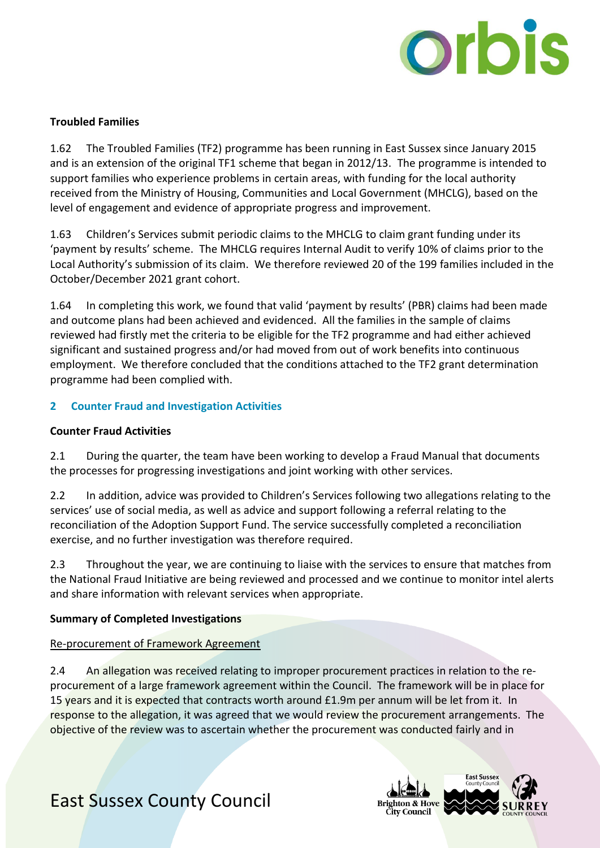

#### **Troubled Families**

1.62 The Troubled Families (TF2) programme has been running in East Sussex since January 2015 and is an extension of the original TF1 scheme that began in 2012/13. The programme is intended to support families who experience problems in certain areas, with funding for the local authority received from the Ministry of Housing, Communities and Local Government (MHCLG), based on the level of engagement and evidence of appropriate progress and improvement.

1.63 Children's Services submit periodic claims to the MHCLG to claim grant funding under its 'payment by results' scheme. The MHCLG requires Internal Audit to verify 10% of claims prior to the Local Authority's submission of its claim. We therefore reviewed 20 of the 199 families included in the October/December 2021 grant cohort.

1.64 In completing this work, we found that valid 'payment by results' (PBR) claims had been made and outcome plans had been achieved and evidenced. All the families in the sample of claims reviewed had firstly met the criteria to be eligible for the TF2 programme and had either achieved significant and sustained progress and/or had moved from out of work benefits into continuous employment. We therefore concluded that the conditions attached to the TF2 grant determination programme had been complied with.

#### **2 Counter Fraud and Investigation Activities**

#### **Counter Fraud Activities**

2.1 During the quarter, the team have been working to develop a Fraud Manual that documents the processes for progressing investigations and joint working with other services.

2.2 In addition, advice was provided to Children's Services following two allegations relating to the services' use of social media, as well as advice and support following a referral relating to the reconciliation of the Adoption Support Fund. The service successfully completed a reconciliation exercise, and no further investigation was therefore required.

2.3 Throughout the year, we are continuing to liaise with the services to ensure that matches from the National Fraud Initiative are being reviewed and processed and we continue to monitor intel alerts and share information with relevant services when appropriate.

#### **Summary of Completed Investigations**

#### Re-procurement of Framework Agreement

2.4 An allegation was received relating to improper procurement practices in relation to the reprocurement of a large framework agreement within the Council. The framework will be in place for 15 years and it is expected that contracts worth around £1.9m per annum will be let from it. In response to the allegation, it was agreed that we would review the procurement arrangements. The objective of the review was to ascertain whether the procurement was conducted fairly and in

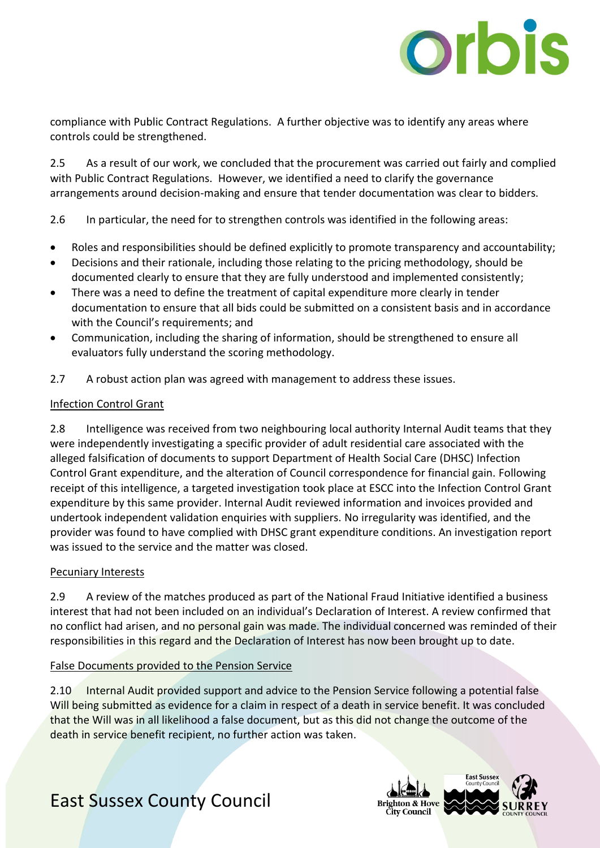

compliance with Public Contract Regulations. A further objective was to identify any areas where controls could be strengthened.

2.5 As a result of our work, we concluded that the procurement was carried out fairly and complied with Public Contract Regulations. However, we identified a need to clarify the governance arrangements around decision-making and ensure that tender documentation was clear to bidders.

2.6 In particular, the need for to strengthen controls was identified in the following areas:

- Roles and responsibilities should be defined explicitly to promote transparency and accountability;
- Decisions and their rationale, including those relating to the pricing methodology, should be documented clearly to ensure that they are fully understood and implemented consistently;
- There was a need to define the treatment of capital expenditure more clearly in tender documentation to ensure that all bids could be submitted on a consistent basis and in accordance with the Council's requirements; and
- Communication, including the sharing of information, should be strengthened to ensure all evaluators fully understand the scoring methodology.
- 2.7 A robust action plan was agreed with management to address these issues.

#### Infection Control Grant

2.8 Intelligence was received from two neighbouring local authority Internal Audit teams that they were independently investigating a specific provider of adult residential care associated with the alleged falsification of documents to support Department of Health Social Care (DHSC) Infection Control Grant expenditure, and the alteration of Council correspondence for financial gain. Following receipt of this intelligence, a targeted investigation took place at ESCC into the Infection Control Grant expenditure by this same provider. Internal Audit reviewed information and invoices provided and undertook independent validation enquiries with suppliers. No irregularity was identified, and the provider was found to have complied with DHSC grant expenditure conditions. An investigation report was issued to the service and the matter was closed.

#### Pecuniary Interests

2.9 A review of the matches produced as part of the National Fraud Initiative identified a business interest that had not been included on an individual's Declaration of Interest. A review confirmed that no conflict had arisen, and no personal gain was made. The individual concerned was reminded of their responsibilities in this regard and the Declaration of Interest has now been brought up to date.

#### False Documents provided to the Pension Service

2.10 Internal Audit provided support and advice to the Pension Service following a potential false Will being submitted as evidence for a claim in respect of a death in service benefit. It was concluded that the Will was in all likelihood a false document, but as this did not change the outcome of the death in service benefit recipient, no further action was taken.

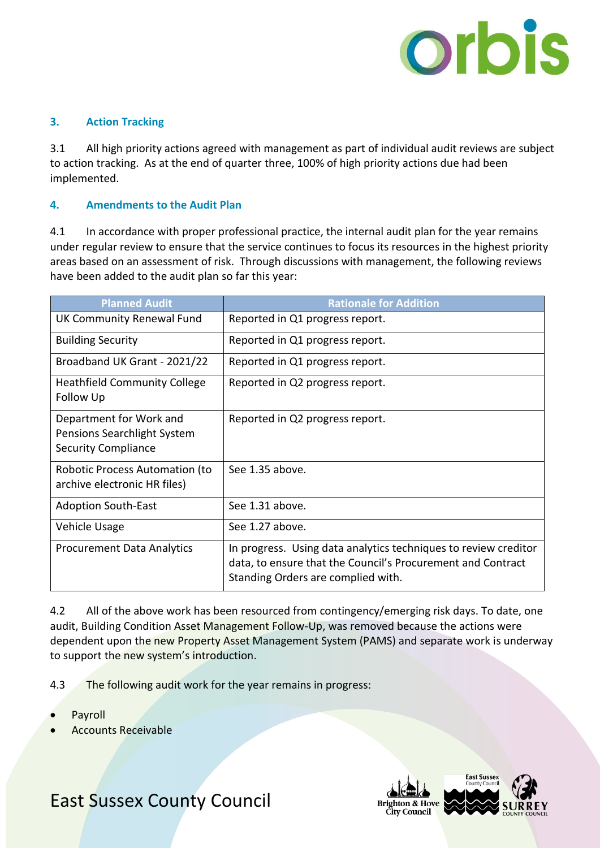

#### **3. Action Tracking**

3.1 All high priority actions agreed with management as part of individual audit reviews are subject to action tracking. As at the end of quarter three, 100% of high priority actions due had been implemented.

#### **4. Amendments to the Audit Plan**

4.1 In accordance with proper professional practice, the internal audit plan for the year remains under regular review to ensure that the service continues to focus its resources in the highest priority areas based on an assessment of risk. Through discussions with management, the following reviews have been added to the audit plan so far this year:

| <b>Planned Audit</b>                                                                 | <b>Rationale for Addition</b>                                                                                                                                        |
|--------------------------------------------------------------------------------------|----------------------------------------------------------------------------------------------------------------------------------------------------------------------|
| UK Community Renewal Fund                                                            | Reported in Q1 progress report.                                                                                                                                      |
| <b>Building Security</b>                                                             | Reported in Q1 progress report.                                                                                                                                      |
| Broadband UK Grant - 2021/22                                                         | Reported in Q1 progress report.                                                                                                                                      |
| <b>Heathfield Community College</b><br>Follow Up                                     | Reported in Q2 progress report.                                                                                                                                      |
| Department for Work and<br>Pensions Searchlight System<br><b>Security Compliance</b> | Reported in Q2 progress report.                                                                                                                                      |
| Robotic Process Automation (to<br>archive electronic HR files)                       | See 1.35 above.                                                                                                                                                      |
| <b>Adoption South-East</b>                                                           | See 1.31 above.                                                                                                                                                      |
| Vehicle Usage                                                                        | See 1.27 above.                                                                                                                                                      |
| <b>Procurement Data Analytics</b>                                                    | In progress. Using data analytics techniques to review creditor<br>data, to ensure that the Council's Procurement and Contract<br>Standing Orders are complied with. |

4.2 All of the above work has been resourced from contingency/emerging risk days. To date, one audit, Building Condition Asset Management Follow-Up, was removed because the actions were dependent upon the new Property Asset Management System (PAMS) and separate work is underway to support the new system's introduction.

- 4.3 The following audit work for the year remains in progress:
- Payroll
- Accounts Receivable

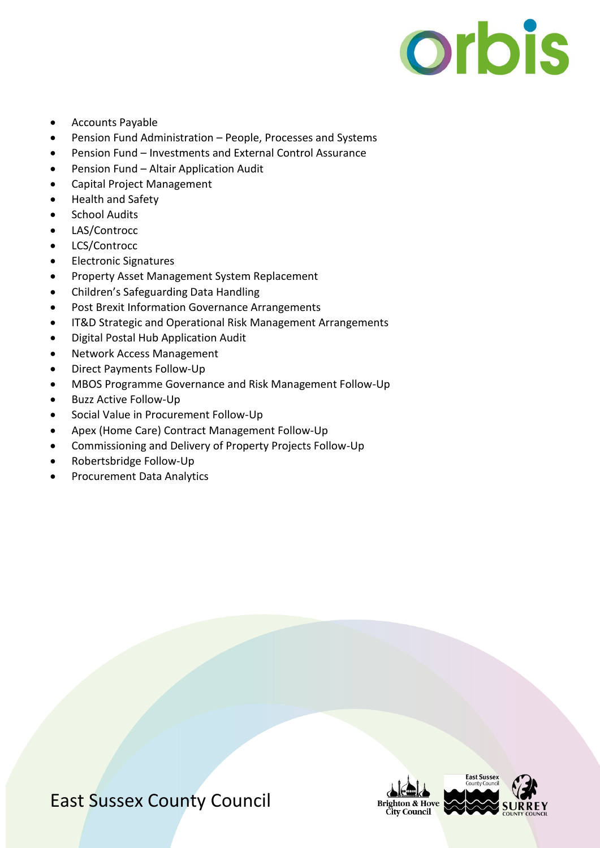

- Accounts Payable
- Pension Fund Administration People, Processes and Systems
- Pension Fund Investments and External Control Assurance
- Pension Fund Altair Application Audit
- Capital Project Management
- Health and Safety
- School Audits
- LAS/Controcc
- LCS/Controcc
- Electronic Signatures
- Property Asset Management System Replacement
- Children's Safeguarding Data Handling
- Post Brexit Information Governance Arrangements
- IT&D Strategic and Operational Risk Management Arrangements
- Digital Postal Hub Application Audit
- Network Access Management
- Direct Payments Follow-Up
- MBOS Programme Governance and Risk Management Follow-Up
- Buzz Active Follow-Up
- Social Value in Procurement Follow-Up
- Apex (Home Care) Contract Management Follow-Up
- Commissioning and Delivery of Property Projects Follow-Up
- Robertsbridge Follow-Up
- Procurement Data Analytics



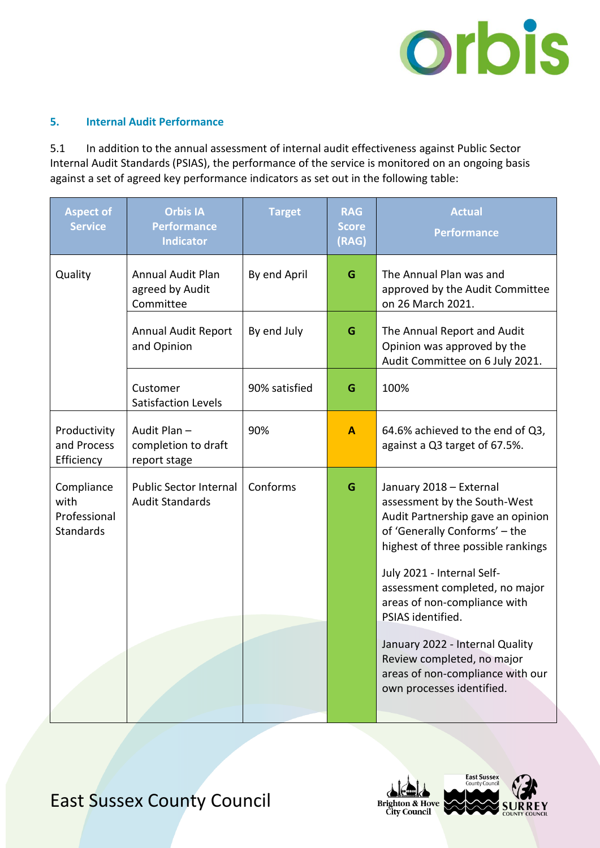

#### **5. Internal Audit Performance**

5.1 In addition to the annual assessment of internal audit effectiveness against Public Sector Internal Audit Standards (PSIAS), the performance of the service is monitored on an ongoing basis against a set of agreed key performance indicators as set out in the following table:

| <b>Aspect of</b><br><b>Service</b>                     | <b>Orbis IA</b><br><b>Performance</b><br><b>Indicator</b> | <b>Target</b> | <b>RAG</b><br><b>Score</b><br>(RAG) | <b>Actual</b><br><b>Performance</b>                                                                                                                                                                                                                                                                                                                                                                                        |
|--------------------------------------------------------|-----------------------------------------------------------|---------------|-------------------------------------|----------------------------------------------------------------------------------------------------------------------------------------------------------------------------------------------------------------------------------------------------------------------------------------------------------------------------------------------------------------------------------------------------------------------------|
| Quality                                                | <b>Annual Audit Plan</b><br>agreed by Audit<br>Committee  | By end April  | G                                   | The Annual Plan was and<br>approved by the Audit Committee<br>on 26 March 2021.                                                                                                                                                                                                                                                                                                                                            |
|                                                        | <b>Annual Audit Report</b><br>and Opinion                 | By end July   | G                                   | The Annual Report and Audit<br>Opinion was approved by the<br>Audit Committee on 6 July 2021.                                                                                                                                                                                                                                                                                                                              |
|                                                        | Customer<br><b>Satisfaction Levels</b>                    | 90% satisfied | G                                   | 100%                                                                                                                                                                                                                                                                                                                                                                                                                       |
| Productivity<br>and Process<br>Efficiency              | Audit Plan -<br>completion to draft<br>report stage       | 90%           | A                                   | 64.6% achieved to the end of Q3,<br>against a Q3 target of 67.5%.                                                                                                                                                                                                                                                                                                                                                          |
| Compliance<br>with<br>Professional<br><b>Standards</b> | <b>Public Sector Internal</b><br><b>Audit Standards</b>   | Conforms      | G                                   | January 2018 - External<br>assessment by the South-West<br>Audit Partnership gave an opinion<br>of 'Generally Conforms' - the<br>highest of three possible rankings<br>July 2021 - Internal Self-<br>assessment completed, no major<br>areas of non-compliance with<br>PSIAS identified.<br>January 2022 - Internal Quality<br>Review completed, no major<br>areas of non-compliance with our<br>own processes identified. |

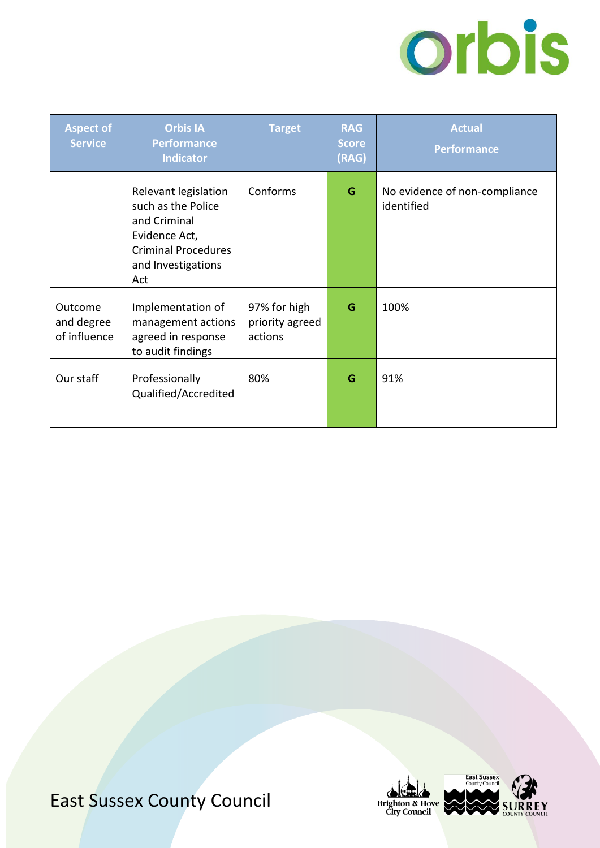

| <b>Aspect of</b><br><b>Service</b>    | <b>Orbis IA</b><br><b>Performance</b><br><b>Indicator</b>                                                                              | <b>Target</b>                              | <b>RAG</b><br><b>Score</b><br>(RAG) | <b>Actual</b><br><b>Performance</b>         |
|---------------------------------------|----------------------------------------------------------------------------------------------------------------------------------------|--------------------------------------------|-------------------------------------|---------------------------------------------|
|                                       | Relevant legislation<br>such as the Police<br>and Criminal<br>Evidence Act,<br><b>Criminal Procedures</b><br>and Investigations<br>Act | Conforms                                   | G                                   | No evidence of non-compliance<br>identified |
| Outcome<br>and degree<br>of influence | Implementation of<br>management actions<br>agreed in response<br>to audit findings                                                     | 97% for high<br>priority agreed<br>actions | G                                   | 100%                                        |
| Our staff                             | Professionally<br>Qualified/Accredited                                                                                                 | 80%                                        | G                                   | 91%                                         |